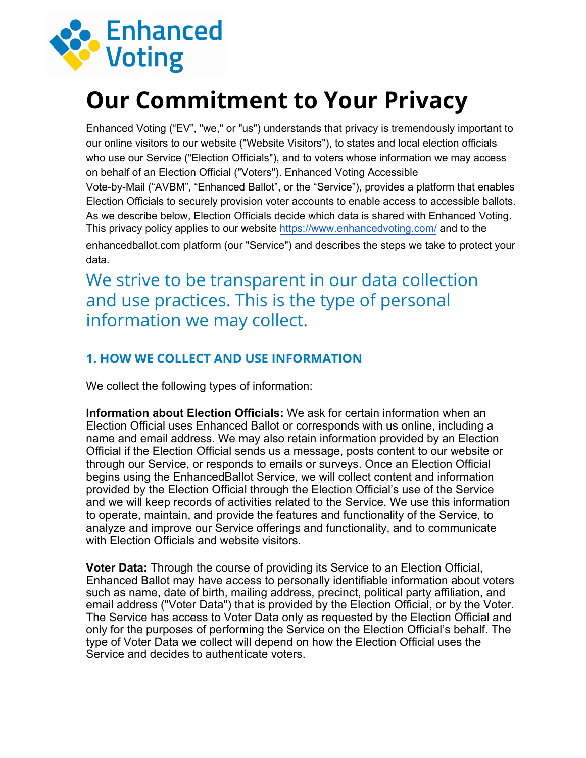

# **Our Commitment to Your Privacy**

Enhanced Voting ("EV", "we," or "us") understands that privacy is tremendously important to our online visitors to our website ("Website Visitors"), to states and local election officials who use our Service ("Election Officials"), and to voters whose information we may access on behalf of an Election Official ("Voters"). Enhanced Voting Accessible Vote-by-Mail ("AVBM", "Enhanced Ballot", or the "Service"), provides a platform that enables Election Officials to securely provision voter accounts to enable access to accessible ballots. As we describe below, Election Officials decide which data is shared with Enhanced Voting. This privacy policy applies to our website https://[www.enhancedvoting](https://access.vote/).com/ and to the enhancedballot.com platform (our "Service") and describes the steps we take to protect your data.

We strive to be transparent in our data collection and use practices. This is the type of personal information we may collect.

### **1. HOW WE COLLECT AND USE INFORMATION**

We collect the following types of information:

**Information about Election Officials:** We ask for certain information when an Election Official uses Enhanced Ballot or corresponds with us online, including a name and email address. We may also retain information provided by an Election Official if the Election Official sends us a message, posts content to our website or through our Service, or responds to emails or surveys. Once an Election Official begins using the EnhancedBallot Service, we will collect content and information provided by the Election Official through the Election Official's use of the Service and we will keep records of activities related to the Service. We use this information to operate, maintain, and provide the features and functionality of the Service, to analyze and improve our Service offerings and functionality, and to communicate with Election Officials and website visitors.

**Voter Data:** Through the course of providing its Service to an Election Official, Enhanced Ballot may have access to personally identifiable information about voters such as name, date of birth, mailing address, precinct, political party affiliation, and email address ("Voter Data") that is provided by the Election Official, or by the Voter. The Service has access to Voter Data only as requested by the Election Official and only for the purposes of performing the Service on the Election Official's behalf. The type of Voter Data we collect will depend on how the Election Official uses the Service and decides to authenticate voters.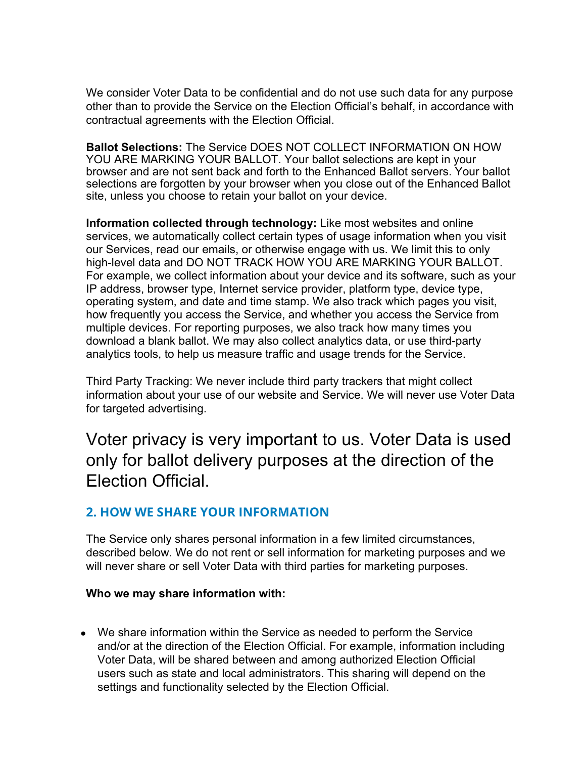We consider Voter Data to be confidential and do not use such data for any purpose other than to provide the Service on the Election Official's behalf, in accordance with contractual agreements with the Election Official.

**Ballot Selections:** The Service DOES NOT COLLECT INFORMATION ON HOW YOU ARE MARKING YOUR BALLOT. Your ballot selections are kept in your browser and are not sent back and forth to the Enhanced Ballot servers. Your ballot selections are forgotten by your browser when you close out of the Enhanced Ballot site, unless you choose to retain your ballot on your device.

**Information collected through technology:** Like most websites and online services, we automatically collect certain types of usage information when you visit our Services, read our emails, or otherwise engage with us. We limit this to only high-level data and DO NOT TRACK HOW YOU ARE MARKING YOUR BALLOT. For example, we collect information about your device and its software, such as your IP address, browser type, Internet service provider, platform type, device type, operating system, and date and time stamp. We also track which pages you visit, how frequently you access the Service, and whether you access the Service from multiple devices. For reporting purposes, we also track how many times you download a blank ballot. We may also collect analytics data, or use third-party analytics tools, to help us measure traffic and usage trends for the Service.

Third Party Tracking: We never include third party trackers that might collect information about your use of our website and Service. We will never use Voter Data for targeted advertising.

Voter privacy is very important to us. Voter Data is used only for ballot delivery purposes at the direction of the Election Official.

### **2. HOW WE SHARE YOUR INFORMATION**

The Service only shares personal information in a few limited circumstances, described below. We do not rent or sell information for marketing purposes and we will never share or sell Voter Data with third parties for marketing purposes.

#### **Who we may share information with:**

• We share information within the Service as needed to perform the Service and/or at the direction of the Election Official. For example, information including Voter Data, will be shared between and among authorized Election Official users such as state and local administrators. This sharing will depend on the settings and functionality selected by the Election Official.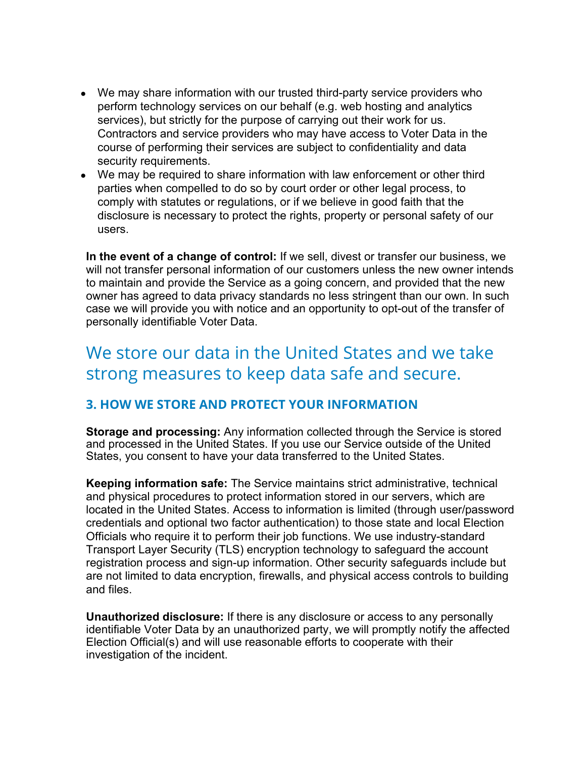- We may share information with our trusted third-party service providers who perform technology services on our behalf (e.g. web hosting and analytics services), but strictly for the purpose of carrying out their work for us. Contractors and service providers who may have access to Voter Data in the course of performing their services are subject to confidentiality and data security requirements.
- We may be required to share information with law enforcement or other third parties when compelled to do so by court order or other legal process, to comply with statutes or regulations, or if we believe in good faith that the disclosure is necessary to protect the rights, property or personal safety of our users.

**In the event of a change of control:** If we sell, divest or transfer our business, we will not transfer personal information of our customers unless the new owner intends to maintain and provide the Service as a going concern, and provided that the new owner has agreed to data privacy standards no less stringent than our own. In such case we will provide you with notice and an opportunity to opt-out of the transfer of personally identifiable Voter Data.

# We store our data in the United States and we take strong measures to keep data safe and secure.

### **3. HOW WE STORE AND PROTECT YOUR INFORMATION**

**Storage and processing:** Any information collected through the Service is stored and processed in the United States. If you use our Service outside of the United States, you consent to have your data transferred to the United States.

**Keeping information safe:** The Service maintains strict administrative, technical and physical procedures to protect information stored in our servers, which are located in the United States. Access to information is limited (through user/password credentials and optional two factor authentication) to those state and local Election Officials who require it to perform their job functions. We use industry-standard Transport Layer Security (TLS) encryption technology to safeguard the account registration process and sign-up information. Other security safeguards include but are not limited to data encryption, firewalls, and physical access controls to building and files.

**Unauthorized disclosure:** If there is any disclosure or access to any personally identifiable Voter Data by an unauthorized party, we will promptly notify the affected Election Official(s) and will use reasonable efforts to cooperate with their investigation of the incident.